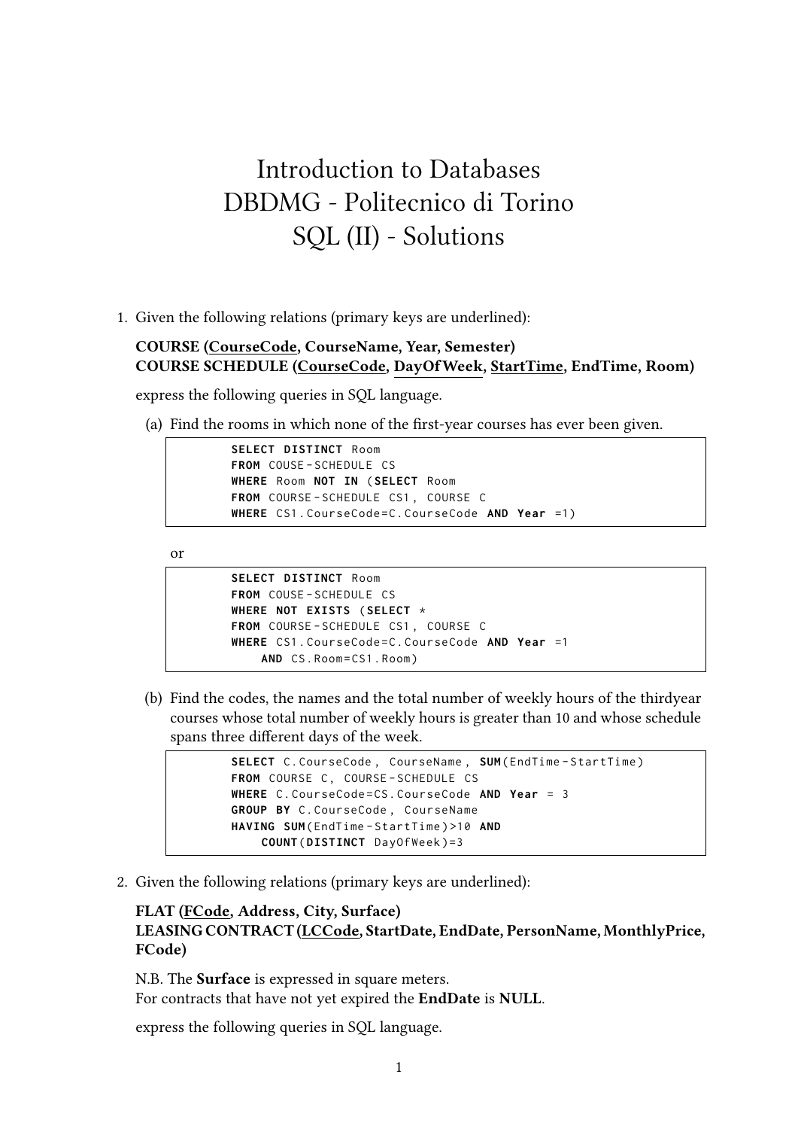## Introduction to Databases DBDMG - Politecnico di Torino SQL (II) - Solutions

1. Given the following relations (primary keys are underlined):

## **COURSE (CourseCode, CourseName, Year, Semester) COURSE SCHEDULE (CourseCode, DayOfWeek, StartTime, EndTime, Room)**

express the following queries in SQL language.

(a) Find the rooms in which none of the first-year courses has ever been given.

```
SELECT DISTINCT Room
FROM COUSE - SCHEDULE CS
WHERE Room NOT IN ( SELECT Room
FROM COURSE - SCHEDULE CS1 , COURSE C
WHERE CS1 . CourseCode = C . CourseCode AND Year =1)
```
or

```
SELECT DISTINCT Room
FROM COUSE - SCHEDULE CS
WHERE NOT EXISTS ( SELECT *
FROM COURSE - SCHEDULE CS1 , COURSE C
WHERE CS1 . CourseCode = C . CourseCode AND Year =1
    AND CS. Room=CS1. Room)
```
(b) Find the codes, the names and the total number of weekly hours of the thirdyear courses whose total number of weekly hours is greater than 10 and whose schedule spans three different days of the week.

```
SELECT C. CourseCode, CourseName, SUM (EndTime-StartTime)
FROM COURSE C, COURSE-SCHEDULE CS
WHERE C . CourseCode = CS . CourseCode AND Year = 3
GROUP BY C . CourseCode , CourseName
HAVING SUM ( EndTime - StartTime ) >10 AND
    COUNT ( DISTINCT DayOfWeek )=3
```
2. Given the following relations (primary keys are underlined):

## **FLAT (FCode, Address, City, Surface) LEASING CONTRACT (LCCode, StartDate, EndDate, PersonName, MonthlyPrice, FCode)**

N.B. The **Surface** is expressed in square meters. For contracts that have not yet expired the **EndDate** is **NULL**.

express the following queries in SQL language.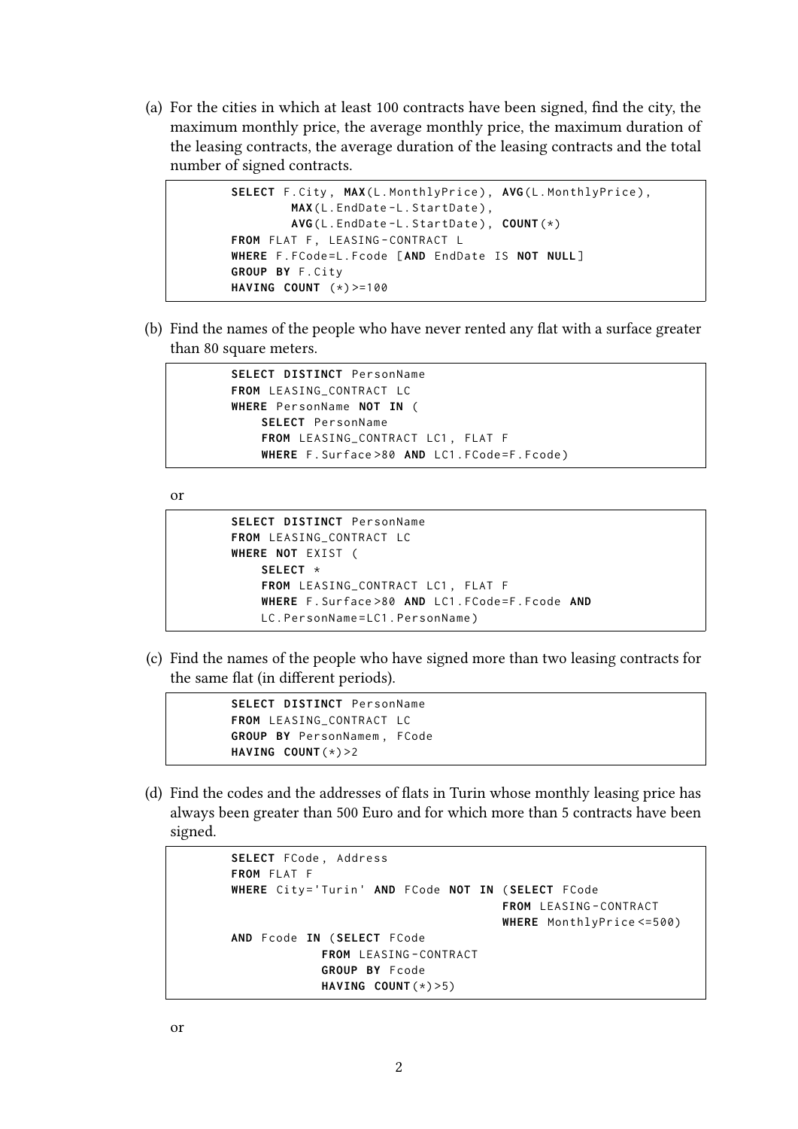(a) For the cities in which at least 100 contracts have been signed, find the city, the maximum monthly price, the average monthly price, the maximum duration of the leasing contracts, the average duration of the leasing contracts and the total number of signed contracts.

```
SELECT F. City, MAX(L. MonthlyPrice), AVG(L. MonthlyPrice),
        MAX(L.EndDate-L.StartDate),
        AVG ( L . EndDate - L . StartDate ) , COUNT (*)
FROM FLAT F, LEASING-CONTRACT L
WHERE F. FCode=L. Fcode [AND EndDate IS NOT NULL]
GROUP BY F . City
HAVING COUNT (*) >=100
```
(b) Find the names of the people who have never rented any flat with a surface greater than 80 square meters.

```
SELECT DISTINCT PersonName
FROM LEASING_CONTRACT LC
WHERE PersonName NOT IN (
    SELECT PersonName
    FROM LEASING_CONTRACT LC1 , FLAT F
    WHERE F. Surface >80 AND LC1. FCode=F. Fcode)
```
or

```
SELECT DISTINCT PersonName
FROM LEASING_CONTRACT LC
WHERE NOT EXIST (
    SELECT *
    FROM LEASING_CONTRACT LC1 , FLAT F
    WHERE F . Surface >80 AND LC1 . FCode = F . Fcode AND
    LC . PersonName = LC1 . PersonName )
```
(c) Find the names of the people who have signed more than two leasing contracts for the same flat (in different periods).

```
SELECT DISTINCT PersonName
FROM LEASING_CONTRACT LC
GROUP BY PersonNamem , FCode
HAVING COUNT (*) >2
```
(d) Find the codes and the addresses of flats in Turin whose monthly leasing price has always been greater than 500 Euro and for which more than 5 contracts have been signed.

```
SELECT FCode , Address
FROM FLAT F
WHERE City ='Turin ' AND FCode NOT IN ( SELECT FCode
                                       FROM LEASING - CONTRACT
                                       WHERE MonthlyPrice <=500)
AND Fcode IN ( SELECT FCode
             FROM LEASING - CONTRACT
             GROUP BY Fcode
             HAVING COUNT (*) >5)
```